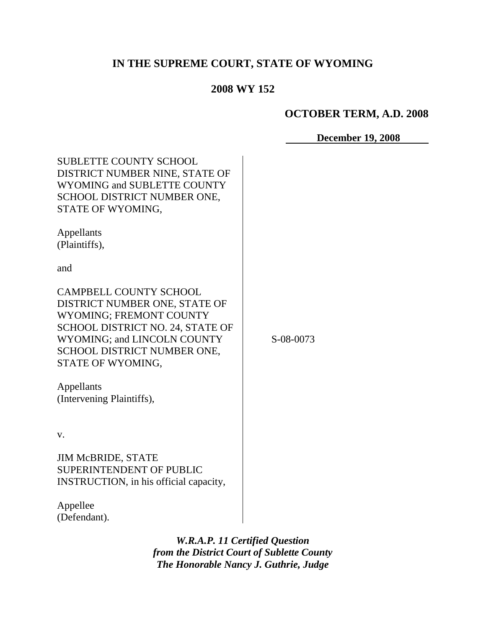# **IN THE SUPREME COURT, STATE OF WYOMING**

# **2008 WY 152**

#### **OCTOBER TERM, A.D. 2008**

#### **December 19, 2008**

| <b>SUBLETTE COUNTY SCHOOL</b><br>DISTRICT NUMBER NINE, STATE OF<br>WYOMING and SUBLETTE COUNTY<br>SCHOOL DISTRICT NUMBER ONE,<br>STATE OF WYOMING,                                                                                                                 |           |
|--------------------------------------------------------------------------------------------------------------------------------------------------------------------------------------------------------------------------------------------------------------------|-----------|
| Appellants<br>(Plaintiffs),                                                                                                                                                                                                                                        |           |
| and                                                                                                                                                                                                                                                                |           |
| <b>CAMPBELL COUNTY SCHOOL</b><br>DISTRICT NUMBER ONE, STATE OF<br><b>WYOMING; FREMONT COUNTY</b><br>SCHOOL DISTRICT NO. 24, STATE OF<br>WYOMING; and LINCOLN COUNTY<br>SCHOOL DISTRICT NUMBER ONE,<br>STATE OF WYOMING,<br>Appellants<br>(Intervening Plaintiffs), | S-08-0073 |
|                                                                                                                                                                                                                                                                    |           |
| V.                                                                                                                                                                                                                                                                 |           |
| <b>JIM McBRIDE, STATE</b><br><b>SUPERINTENDENT OF PUBLIC</b><br>INSTRUCTION, in his official capacity,                                                                                                                                                             |           |
|                                                                                                                                                                                                                                                                    |           |

Appellee (Defendant).

> *W.R.A.P. 11 Certified Question from the District Court of Sublette County The Honorable Nancy J. Guthrie, Judge*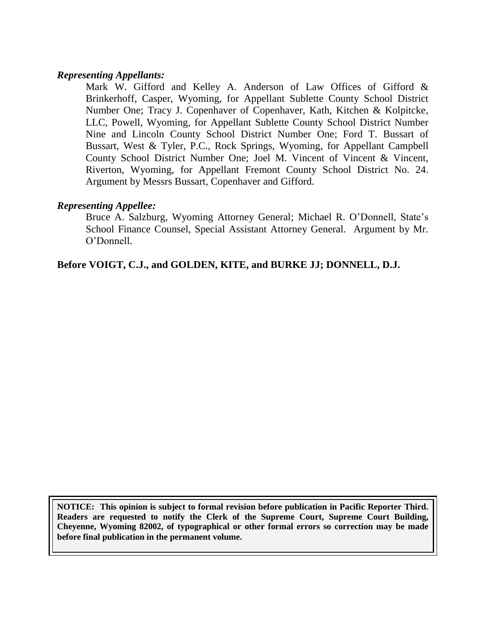#### *Representing Appellants:*

Mark W. Gifford and Kelley A. Anderson of Law Offices of Gifford & Brinkerhoff, Casper, Wyoming, for Appellant Sublette County School District Number One; Tracy J. Copenhaver of Copenhaver, Kath, Kitchen & Kolpitcke, LLC, Powell, Wyoming, for Appellant Sublette County School District Number Nine and Lincoln County School District Number One; Ford T. Bussart of Bussart, West & Tyler, P.C., Rock Springs, Wyoming, for Appellant Campbell County School District Number One; Joel M. Vincent of Vincent & Vincent, Riverton, Wyoming, for Appellant Fremont County School District No. 24. Argument by Messrs Bussart, Copenhaver and Gifford.

#### *Representing Appellee:*

Bruce A. Salzburg, Wyoming Attorney General; Michael R. O'Donnell, State's School Finance Counsel, Special Assistant Attorney General. Argument by Mr. O"Donnell.

**Before VOIGT, C.J., and GOLDEN, KITE, and BURKE JJ; DONNELL, D.J.**

**NOTICE: This opinion is subject to formal revision before publication in Pacific Reporter Third. Readers are requested to notify the Clerk of the Supreme Court, Supreme Court Building, Cheyenne, Wyoming 82002, of typographical or other formal errors so correction may be made before final publication in the permanent volume.**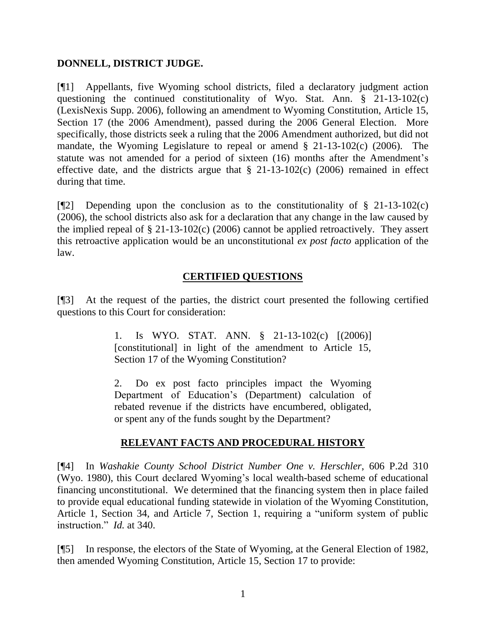### **DONNELL, DISTRICT JUDGE.**

[¶1] Appellants, five Wyoming school districts, filed a declaratory judgment action questioning the continued constitutionality of Wyo. Stat. Ann. § 21-13-102(c) (LexisNexis Supp. 2006), following an amendment to Wyoming Constitution, Article 15, Section 17 (the 2006 Amendment), passed during the 2006 General Election. More specifically, those districts seek a ruling that the 2006 Amendment authorized, but did not mandate, the Wyoming Legislature to repeal or amend § 21-13-102(c) (2006). The statute was not amended for a period of sixteen (16) months after the Amendment's effective date, and the districts argue that  $\S$  21-13-102(c) (2006) remained in effect during that time.

[ $\llbracket$ <sup>2</sup>] Depending upon the conclusion as to the constitutionality of § 21-13-102(c) (2006), the school districts also ask for a declaration that any change in the law caused by the implied repeal of  $\S 21-13-102(c)$  (2006) cannot be applied retroactively. They assert this retroactive application would be an unconstitutional *ex post facto* application of the law.

# **CERTIFIED QUESTIONS**

[¶3] At the request of the parties, the district court presented the following certified questions to this Court for consideration:

> 1. Is WYO. STAT. ANN. § 21-13-102(c) [(2006)] [constitutional] in light of the amendment to Article 15, Section 17 of the Wyoming Constitution?

> 2. Do ex post facto principles impact the Wyoming Department of Education"s (Department) calculation of rebated revenue if the districts have encumbered, obligated, or spent any of the funds sought by the Department?

### **RELEVANT FACTS AND PROCEDURAL HISTORY**

[¶4] In *Washakie County School District Number One v. Herschler*, 606 P.2d 310 (Wyo. 1980), this Court declared Wyoming"s local wealth-based scheme of educational financing unconstitutional. We determined that the financing system then in place failed to provide equal educational funding statewide in violation of the Wyoming Constitution, Article 1, Section 34, and Article 7, Section 1, requiring a "uniform system of public instruction." *Id.* at 340.

[¶5] In response, the electors of the State of Wyoming, at the General Election of 1982, then amended Wyoming Constitution, Article 15, Section 17 to provide: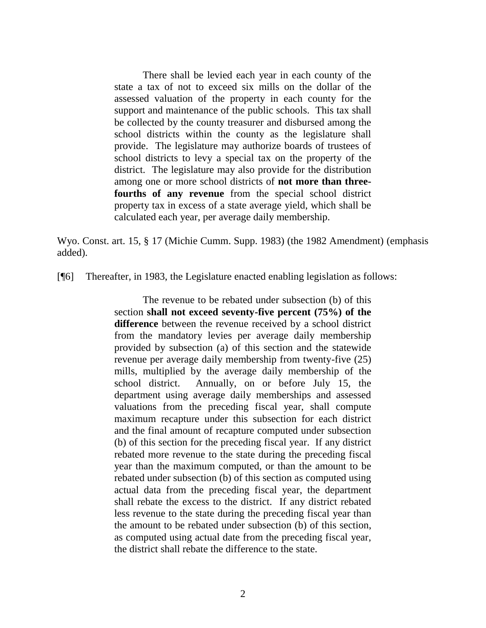There shall be levied each year in each county of the state a tax of not to exceed six mills on the dollar of the assessed valuation of the property in each county for the support and maintenance of the public schools. This tax shall be collected by the county treasurer and disbursed among the school districts within the county as the legislature shall provide. The legislature may authorize boards of trustees of school districts to levy a special tax on the property of the district. The legislature may also provide for the distribution among one or more school districts of **not more than threefourths of any revenue** from the special school district property tax in excess of a state average yield, which shall be calculated each year, per average daily membership.

Wyo. Const. art. 15, § 17 (Michie Cumm. Supp. 1983) (the 1982 Amendment) (emphasis added).

[¶6] Thereafter, in 1983, the Legislature enacted enabling legislation as follows:

The revenue to be rebated under subsection (b) of this section **shall not exceed seventy-five percent (75%) of the difference** between the revenue received by a school district from the mandatory levies per average daily membership provided by subsection (a) of this section and the statewide revenue per average daily membership from twenty-five (25) mills, multiplied by the average daily membership of the school district. Annually, on or before July 15, the department using average daily memberships and assessed valuations from the preceding fiscal year, shall compute maximum recapture under this subsection for each district and the final amount of recapture computed under subsection (b) of this section for the preceding fiscal year. If any district rebated more revenue to the state during the preceding fiscal year than the maximum computed, or than the amount to be rebated under subsection (b) of this section as computed using actual data from the preceding fiscal year, the department shall rebate the excess to the district. If any district rebated less revenue to the state during the preceding fiscal year than the amount to be rebated under subsection (b) of this section, as computed using actual date from the preceding fiscal year, the district shall rebate the difference to the state.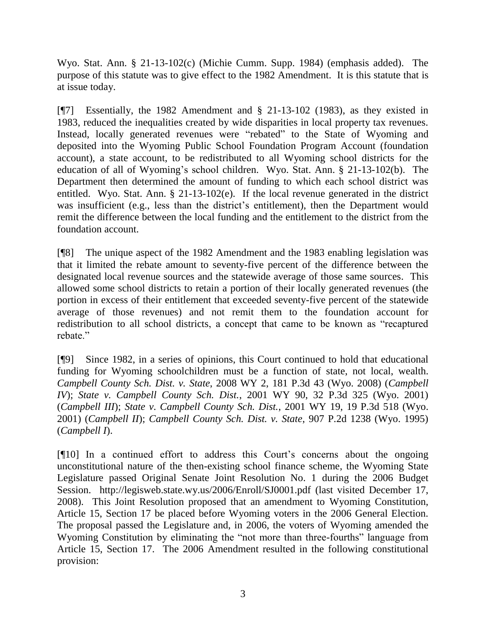Wyo. Stat. Ann. § 21-13-102(c) (Michie Cumm. Supp. 1984) (emphasis added). The purpose of this statute was to give effect to the 1982 Amendment. It is this statute that is at issue today.

[¶7] Essentially, the 1982 Amendment and § 21-13-102 (1983), as they existed in 1983, reduced the inequalities created by wide disparities in local property tax revenues. Instead, locally generated revenues were "rebated" to the State of Wyoming and deposited into the Wyoming Public School Foundation Program Account (foundation account), a state account, to be redistributed to all Wyoming school districts for the education of all of Wyoming"s school children. Wyo. Stat. Ann. § 21-13-102(b). The Department then determined the amount of funding to which each school district was entitled. Wyo. Stat. Ann. § 21-13-102(e). If the local revenue generated in the district was insufficient (e.g., less than the district's entitlement), then the Department would remit the difference between the local funding and the entitlement to the district from the foundation account.

[¶8] The unique aspect of the 1982 Amendment and the 1983 enabling legislation was that it limited the rebate amount to seventy-five percent of the difference between the designated local revenue sources and the statewide average of those same sources. This allowed some school districts to retain a portion of their locally generated revenues (the portion in excess of their entitlement that exceeded seventy-five percent of the statewide average of those revenues) and not remit them to the foundation account for redistribution to all school districts, a concept that came to be known as "recaptured rebate."

[¶9] Since 1982, in a series of opinions, this Court continued to hold that educational funding for Wyoming schoolchildren must be a function of state, not local, wealth. *Campbell County Sch. Dist. v. State*, 2008 WY 2, 181 P.3d 43 (Wyo. 2008) (*Campbell IV*); *State v. Campbell County Sch. Dist.*, 2001 WY 90, 32 P.3d 325 (Wyo. 2001) (*Campbell III*); *State v. Campbell County Sch. Dist.*, 2001 WY 19, 19 P.3d 518 (Wyo. 2001) (*Campbell II*); *Campbell County Sch. Dist. v. State*, 907 P.2d 1238 (Wyo. 1995) (*Campbell I*).

[¶10] In a continued effort to address this Court"s concerns about the ongoing unconstitutional nature of the then-existing school finance scheme, the Wyoming State Legislature passed Original Senate Joint Resolution No. 1 during the 2006 Budget Session. <http://legisweb.state.wy.us/2006/Enroll/SJ0001.pdf> (last visited December 17, 2008). This Joint Resolution proposed that an amendment to Wyoming Constitution, Article 15, Section 17 be placed before Wyoming voters in the 2006 General Election. The proposal passed the Legislature and, in 2006, the voters of Wyoming amended the Wyoming Constitution by eliminating the "not more than three-fourths" language from Article 15, Section 17. The 2006 Amendment resulted in the following constitutional provision: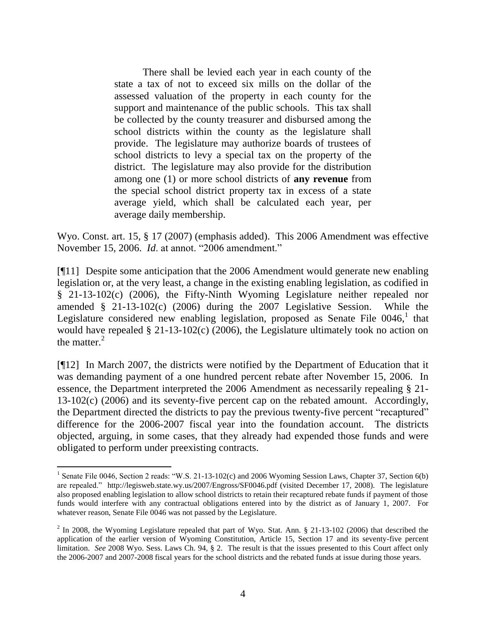There shall be levied each year in each county of the state a tax of not to exceed six mills on the dollar of the assessed valuation of the property in each county for the support and maintenance of the public schools. This tax shall be collected by the county treasurer and disbursed among the school districts within the county as the legislature shall provide. The legislature may authorize boards of trustees of school districts to levy a special tax on the property of the district. The legislature may also provide for the distribution among one (1) or more school districts of **any revenue** from the special school district property tax in excess of a state average yield, which shall be calculated each year, per average daily membership.

Wyo. Const. art. 15, § 17 (2007) (emphasis added). This 2006 Amendment was effective November 15, 2006. *Id*. at annot. "2006 amendment."

[¶11] Despite some anticipation that the 2006 Amendment would generate new enabling legislation or, at the very least, a change in the existing enabling legislation, as codified in § 21-13-102(c) (2006), the Fifty-Ninth Wyoming Legislature neither repealed nor amended § 21-13-102(c) (2006) during the 2007 Legislative Session. While the Legislature considered new enabling legislation, proposed as Senate File 0046,<sup>1</sup> that would have repealed § 21-13-102(c) (2006), the Legislature ultimately took no action on the matter. $2$ 

[¶12] In March 2007, the districts were notified by the Department of Education that it was demanding payment of a one hundred percent rebate after November 15, 2006. In essence, the Department interpreted the 2006 Amendment as necessarily repealing § 21- 13-102(c) (2006) and its seventy-five percent cap on the rebated amount. Accordingly, the Department directed the districts to pay the previous twenty-five percent "recaptured" difference for the 2006-2007 fiscal year into the foundation account. The districts objected, arguing, in some cases, that they already had expended those funds and were obligated to perform under preexisting contracts.

<sup>&</sup>lt;sup>1</sup> Senate File 0046, Section 2 reads: "W.S. 21-13-102(c) and 2006 Wyoming Session Laws, Chapter 37, Section 6(b) are repealed." http://legisweb.state.wy.us/2007/Engross/SF0046.pdf (visited December 17, 2008). The legislature also proposed enabling legislation to allow school districts to retain their recaptured rebate funds if payment of those funds would interfere with any contractual obligations entered into by the district as of January 1, 2007. For whatever reason, Senate File 0046 was not passed by the Legislature.

 $^2$  In 2008, the Wyoming Legislature repealed that part of Wyo. Stat. Ann. § 21-13-102 (2006) that described the application of the earlier version of Wyoming Constitution, Article 15, Section 17 and its seventy-five percent limitation. *See* 2008 Wyo. Sess. Laws Ch. 94, § 2. The result is that the issues presented to this Court affect only the 2006-2007 and 2007-2008 fiscal years for the school districts and the rebated funds at issue during those years.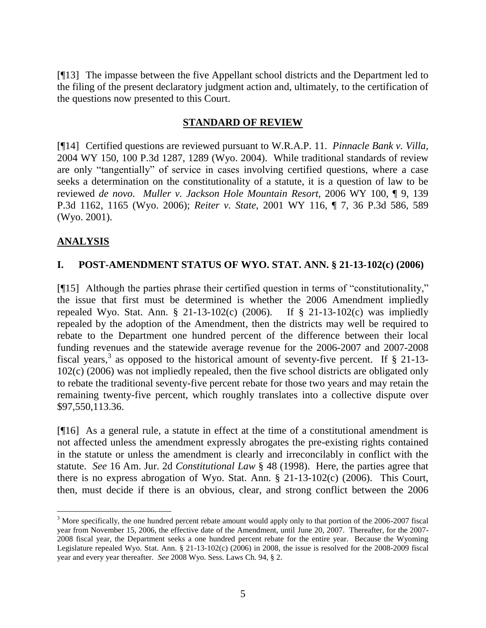[¶13] The impasse between the five Appellant school districts and the Department led to the filing of the present declaratory judgment action and, ultimately, to the certification of the questions now presented to this Court.

## **STANDARD OF REVIEW**

[¶14] Certified questions are reviewed pursuant to W.R.A.P. 11. *Pinnacle Bank v. Villa*, 2004 WY 150, 100 P.3d 1287, 1289 (Wyo. 2004). While traditional standards of review are only "tangentially" of service in cases involving certified questions, where a case seeks a determination on the constitutionality of a statute, it is a question of law to be reviewed *de novo*. *Muller v. Jackson Hole Mountain Resort*, 2006 WY 100, ¶ 9, 139 P.3d 1162, 1165 (Wyo. 2006); *Reiter v. State*, 2001 WY 116, ¶ 7, 36 P.3d 586, 589 (Wyo. 2001).

# **ANALYSIS**

# **I. POST-AMENDMENT STATUS OF WYO. STAT. ANN. § 21-13-102(c) (2006)**

[¶15] Although the parties phrase their certified question in terms of "constitutionality," the issue that first must be determined is whether the 2006 Amendment impliedly repealed Wyo. Stat. Ann. § 21-13-102(c) (2006). If § 21-13-102(c) was impliedly repealed by the adoption of the Amendment, then the districts may well be required to rebate to the Department one hundred percent of the difference between their local funding revenues and the statewide average revenue for the 2006-2007 and 2007-2008 fiscal years,<sup>3</sup> as opposed to the historical amount of seventy-five percent. If § 21-13-102(c) (2006) was not impliedly repealed, then the five school districts are obligated only to rebate the traditional seventy-five percent rebate for those two years and may retain the remaining twenty-five percent, which roughly translates into a collective dispute over \$97,550,113.36.

[¶16] As a general rule, a statute in effect at the time of a constitutional amendment is not affected unless the amendment expressly abrogates the pre-existing rights contained in the statute or unless the amendment is clearly and irreconcilably in conflict with the statute. *See* 16 Am. Jur. 2d *Constitutional Law* § 48 (1998). Here, the parties agree that there is no express abrogation of Wyo. Stat. Ann. § 21-13-102(c) (2006). This Court, then, must decide if there is an obvious, clear, and strong conflict between the 2006

<sup>&</sup>lt;sup>3</sup> More specifically, the one hundred percent rebate amount would apply only to that portion of the 2006-2007 fiscal year from November 15, 2006, the effective date of the Amendment, until June 20, 2007. Thereafter, for the 2007- 2008 fiscal year, the Department seeks a one hundred percent rebate for the entire year. Because the Wyoming Legislature repealed Wyo. Stat. Ann. § 21-13-102(c) (2006) in 2008, the issue is resolved for the 2008-2009 fiscal year and every year thereafter. *See* 2008 Wyo. Sess. Laws Ch. 94, § 2.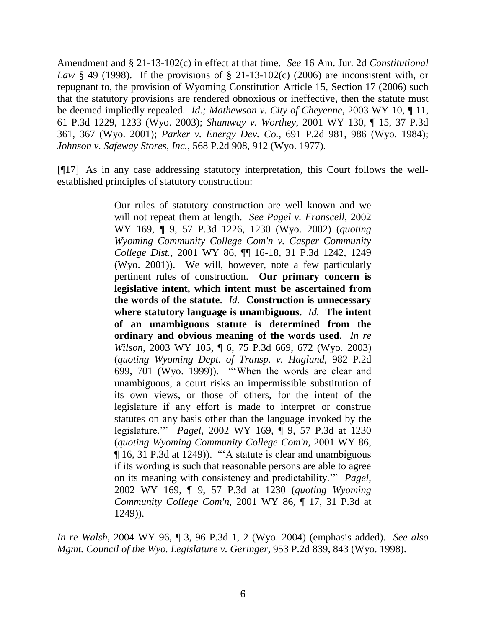Amendment and § 21-13-102(c) in effect at that time. *See* 16 Am. Jur. 2d *Constitutional Law* § 49 (1998). If the provisions of § 21-13-102(c) (2006) are inconsistent with, or repugnant to, the provision of Wyoming Constitution Article 15, Section 17 (2006) such that the statutory provisions are rendered obnoxious or ineffective, then the statute must be deemed impliedly repealed. *Id.; Mathewson v. City of Cheyenne*, 2003 WY 10, ¶ 11, 61 P.3d 1229, 1233 (Wyo. 2003); *Shumway v. Worthey*, 2001 WY 130, ¶ 15, 37 P.3d 361, 367 (Wyo. 2001); *Parker v. Energy Dev. Co.*, 691 P.2d 981, 986 (Wyo. 1984); *Johnson v. Safeway Stores, Inc.*, 568 P.2d 908, 912 (Wyo. 1977).

[¶17] As in any case addressing statutory interpretation, this Court follows the wellestablished principles of statutory construction:

> Our rules of statutory construction are well known and we will not repeat them at length. *See Pagel v. Franscell,* 2002 WY 169, ¶ 9, 57 P.3d 1226, 1230 (Wyo. 2002) (*quoting Wyoming Community College Com'n v. Casper Community College Dist.,* 2001 WY 86, ¶¶ 16-18, 31 P.3d 1242, 1249 (Wyo. 2001)). We will, however, note a few particularly pertinent rules of construction. **Our primary concern is legislative intent, which intent must be ascertained from the words of the statute**. *Id.* **Construction is unnecessary where statutory language is unambiguous.** *Id.* **The intent of an unambiguous statute is determined from the ordinary and obvious meaning of the words used**. *In re Wilson,* 2003 WY 105, ¶ 6, 75 P.3d 669, 672 (Wyo. 2003) (*quoting Wyoming Dept. of Transp. v. Haglund,* 982 P.2d 699, 701 (Wyo. 1999)). ""When the words are clear and unambiguous, a court risks an impermissible substitution of its own views, or those of others, for the intent of the legislature if any effort is made to interpret or construe statutes on any basis other than the language invoked by the legislature."" *Pagel,* 2002 WY 169, ¶ 9, 57 P.3d at 1230 (*quoting Wyoming Community College Com'n,* 2001 WY 86, ¶ 16, 31 P.3d at 1249)). ""A statute is clear and unambiguous if its wording is such that reasonable persons are able to agree on its meaning with consistency and predictability."" *Pagel,* 2002 WY 169, ¶ 9, 57 P.3d at 1230 (*quoting Wyoming Community College Com'n,* 2001 WY 86, ¶ 17, 31 P.3d at 1249)).

*In re Walsh*, 2004 WY 96, ¶ 3, 96 P.3d 1, 2 (Wyo. 2004) (emphasis added). *See also Mgmt. Council of the Wyo. Legislature v. Geringer*, 953 P.2d 839, 843 (Wyo. 1998).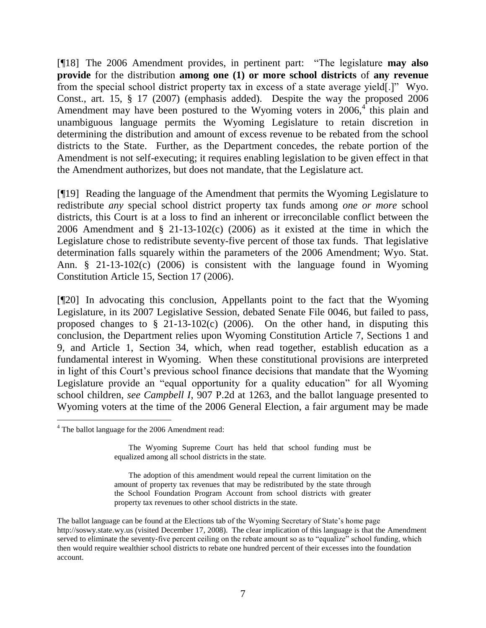[¶18] The 2006 Amendment provides, in pertinent part: "The legislature **may also provide** for the distribution **among one (1) or more school districts** of **any revenue** from the special school district property tax in excess of a state average yield[.]" Wyo. Const., art. 15, § 17 (2007) (emphasis added). Despite the way the proposed 2006 Amendment may have been postured to the Wyoming voters in 2006,<sup>4</sup> this plain and unambiguous language permits the Wyoming Legislature to retain discretion in determining the distribution and amount of excess revenue to be rebated from the school districts to the State. Further, as the Department concedes, the rebate portion of the Amendment is not self-executing; it requires enabling legislation to be given effect in that the Amendment authorizes, but does not mandate, that the Legislature act.

[¶19] Reading the language of the Amendment that permits the Wyoming Legislature to redistribute *any* special school district property tax funds among *one or more* school districts, this Court is at a loss to find an inherent or irreconcilable conflict between the 2006 Amendment and  $\S$  21-13-102(c) (2006) as it existed at the time in which the Legislature chose to redistribute seventy-five percent of those tax funds. That legislative determination falls squarely within the parameters of the 2006 Amendment; Wyo. Stat. Ann. § 21-13-102(c) (2006) is consistent with the language found in Wyoming Constitution Article 15, Section 17 (2006).

[¶20] In advocating this conclusion, Appellants point to the fact that the Wyoming Legislature, in its 2007 Legislative Session, debated Senate File 0046, but failed to pass, proposed changes to  $\S$  21-13-102(c) (2006). On the other hand, in disputing this conclusion, the Department relies upon Wyoming Constitution Article 7, Sections 1 and 9, and Article 1, Section 34, which, when read together, establish education as a fundamental interest in Wyoming. When these constitutional provisions are interpreted in light of this Court"s previous school finance decisions that mandate that the Wyoming Legislature provide an "equal opportunity for a quality education" for all Wyoming school children, *see Campbell I*, 907 P.2d at 1263, and the ballot language presented to Wyoming voters at the time of the 2006 General Election, a fair argument may be made

<sup>&</sup>lt;sup>4</sup> The ballot language for the 2006 Amendment read:

The Wyoming Supreme Court has held that school funding must be equalized among all school districts in the state.

The adoption of this amendment would repeal the current limitation on the amount of property tax revenues that may be redistributed by the state through the School Foundation Program Account from school districts with greater property tax revenues to other school districts in the state.

The ballot language can be found at the Elections tab of the Wyoming Secretary of State"s home page [http://soswy.state.wy.us](http://soswy.state.wy.us/) (visited December 17, 2008). The clear implication of this language is that the Amendment served to eliminate the seventy-five percent ceiling on the rebate amount so as to "equalize" school funding, which then would require wealthier school districts to rebate one hundred percent of their excesses into the foundation account.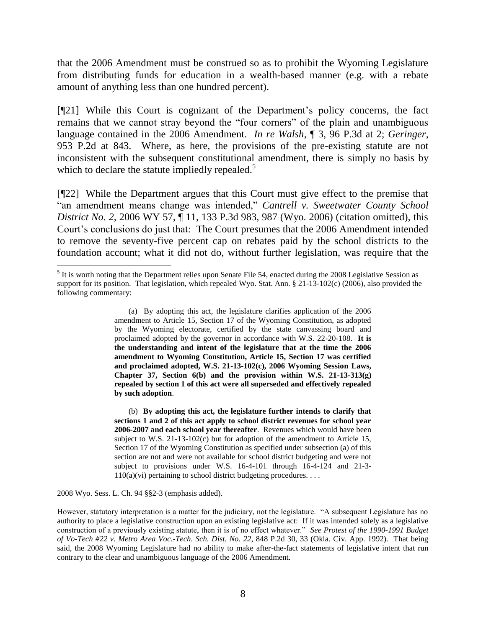that the 2006 Amendment must be construed so as to prohibit the Wyoming Legislature from distributing funds for education in a wealth-based manner (e.g. with a rebate amount of anything less than one hundred percent).

[¶21] While this Court is cognizant of the Department"s policy concerns, the fact remains that we cannot stray beyond the "four corners" of the plain and unambiguous language contained in the 2006 Amendment. *In re Walsh*, ¶ 3, 96 P.3d at 2; *Geringer*, 953 P.2d at 843. Where, as here, the provisions of the pre-existing statute are not inconsistent with the subsequent constitutional amendment, there is simply no basis by which to declare the statute impliedly repealed.<sup>5</sup>

[¶22] While the Department argues that this Court must give effect to the premise that "an amendment means change was intended," *Cantrell v. Sweetwater County School District No. 2*, 2006 WY 57, ¶ 11, 133 P.3d 983, 987 (Wyo. 2006) (citation omitted), this Court"s conclusions do just that: The Court presumes that the 2006 Amendment intended to remove the seventy-five percent cap on rebates paid by the school districts to the foundation account; what it did not do, without further legislation, was require that the

(a) By adopting this act, the legislature clarifies application of the 2006 amendment to Article 15, Section 17 of the Wyoming Constitution, as adopted by the Wyoming electorate, certified by the state canvassing board and proclaimed adopted by the governor in accordance with W.S. 22-20-108. **It is the understanding and intent of the legislature that at the time the 2006 amendment to Wyoming Constitution, Article 15, Section 17 was certified and proclaimed adopted, W.S. 21-13-102(c), 2006 Wyoming Session Laws, Chapter 37, Section 6(b) and the provision within W.S. 21-13-313(g) repealed by section 1 of this act were all superseded and effectively repealed by such adoption**.

(b) **By adopting this act, the legislature further intends to clarify that sections 1 and 2 of this act apply to school district revenues for school year 2006-2007 and each school year thereafter**. Revenues which would have been subject to W.S. 21-13-102(c) but for adoption of the amendment to Article 15, Section 17 of the Wyoming Constitution as specified under subsection (a) of this section are not and were not available for school district budgeting and were not subject to provisions under W.S. 16-4-101 through 16-4-124 and 21-3-  $110(a)(vi)$  pertaining to school district budgeting procedures. ...

2008 Wyo. Sess. L. Ch. 94 §§2-3 (emphasis added).

 $<sup>5</sup>$  It is worth noting that the Department relies upon Senate File 54, enacted during the 2008 Legislative Session as</sup> support for its position. That legislation, which repealed Wyo. Stat. Ann. § 21-13-102(c) (2006), also provided the following commentary:

However, statutory interpretation is a matter for the judiciary, not the legislature. "A subsequent Legislature has no authority to place a legislative construction upon an existing legislative act: If it was intended solely as a legislative construction of a previously existing statute, then it is of no effect whatever." *See Protest of the 1990-1991 Budget of Vo-Tech #22 v. Metro Area Voc.-Tech. Sch. Dist. No. 22*, 848 P.2d 30, 33 (Okla. Civ. App. 1992). That being said, the 2008 Wyoming Legislature had no ability to make after-the-fact statements of legislative intent that run contrary to the clear and unambiguous language of the 2006 Amendment.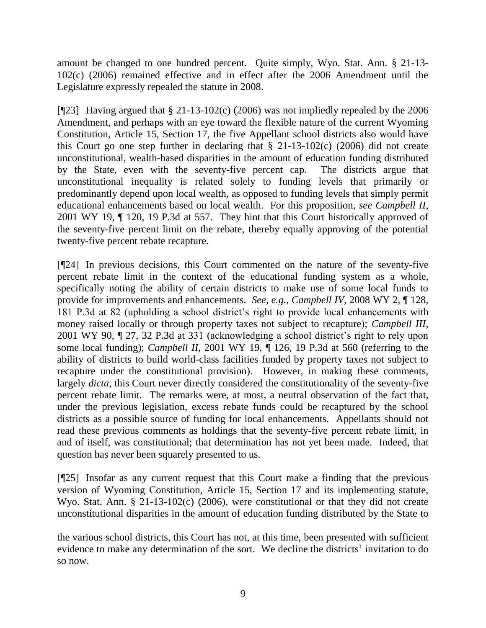amount be changed to one hundred percent. Quite simply, Wyo. Stat. Ann. § 21-13- 102(c) (2006) remained effective and in effect after the 2006 Amendment until the Legislature expressly repealed the statute in 2008.

[ $[923]$ ] Having argued that § 21-13-102(c) (2006) was not impliedly repealed by the 2006 Amendment, and perhaps with an eye toward the flexible nature of the current Wyoming Constitution, Article 15, Section 17, the five Appellant school districts also would have this Court go one step further in declaring that § 21-13-102(c) (2006) did not create unconstitutional, wealth-based disparities in the amount of education funding distributed by the State, even with the seventy-five percent cap. The districts argue that unconstitutional inequality is related solely to funding levels that primarily or predominantly depend upon local wealth, as opposed to funding levels that simply permit educational enhancements based on local wealth. For this proposition, *see Campbell II*, 2001 WY 19, ¶ 120, 19 P.3d at 557. They hint that this Court historically approved of the seventy-five percent limit on the rebate, thereby equally approving of the potential twenty-five percent rebate recapture.

[¶24] In previous decisions, this Court commented on the nature of the seventy-five percent rebate limit in the context of the educational funding system as a whole, specifically noting the ability of certain districts to make use of some local funds to provide for improvements and enhancements. *See, e.g., Campbell IV*, 2008 WY 2, ¶ 128, 181 P.3d at 82 (upholding a school district"s right to provide local enhancements with money raised locally or through property taxes not subject to recapture); *Campbell III*, 2001 WY 90, ¶ 27, 32 P.3d at 331 (acknowledging a school district"s right to rely upon some local funding); *Campbell II*, 2001 WY 19, ¶ 126, 19 P.3d at 560 (referring to the ability of districts to build world-class facilities funded by property taxes not subject to recapture under the constitutional provision). However, in making these comments, largely *dicta*, this Court never directly considered the constitutionality of the seventy-five percent rebate limit. The remarks were, at most, a neutral observation of the fact that, under the previous legislation, excess rebate funds could be recaptured by the school districts as a possible source of funding for local enhancements. Appellants should not read these previous comments as holdings that the seventy-five percent rebate limit, in and of itself, was constitutional; that determination has not yet been made. Indeed, that question has never been squarely presented to us.

[¶25] Insofar as any current request that this Court make a finding that the previous version of Wyoming Constitution, Article 15, Section 17 and its implementing statute, Wyo. Stat. Ann. § 21-13-102(c) (2006), were constitutional or that they did not create unconstitutional disparities in the amount of education funding distributed by the State to

the various school districts, this Court has not, at this time, been presented with sufficient evidence to make any determination of the sort. We decline the districts' invitation to do so now.